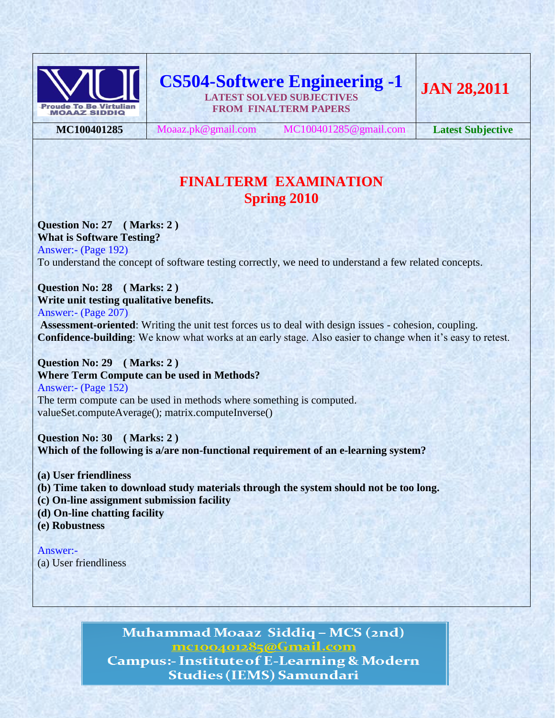

**CS504-Softwere Engineering -1 LATEST SOLVED SUBJECTIVES FROM FINALTERM PAPERS**

**MC100401285** Moaaz.pk@gmail.com MC100401285@gmail.com **Latest Subjective**

# **FINALTERM EXAMINATION Spring 2010**

**Question No: 27 ( Marks: 2 ) What is Software Testing?** Answer:- (Page 192) To understand the concept of software testing correctly, we need to understand a few related concepts.

# **Question No: 28 ( Marks: 2 ) Write unit testing qualitative benefits.**

Answer:- (Page 207)

**Assessment-oriented**: Writing the unit test forces us to deal with design issues - cohesion, coupling. **Confidence-building**: We know what works at an early stage. Also easier to change when it's easy to retest.

**Question No: 29 ( Marks: 2 ) Where Term Compute can be used in Methods?** Answer:- (Page 152) The term compute can be used in methods where something is computed. valueSet.computeAverage(); matrix.computeInverse()

**Question No: 30 ( Marks: 2 ) Which of the following is a/are non-functional requirement of an e-learning system?**

**(a) User friendliness**

- **(b) Time taken to download study materials through the system should not be too long.**
- **(c) On-line assignment submission facility**
- **(d) On-line chatting facility**
- **(e) Robustness**

Answer:- (a) User friendliness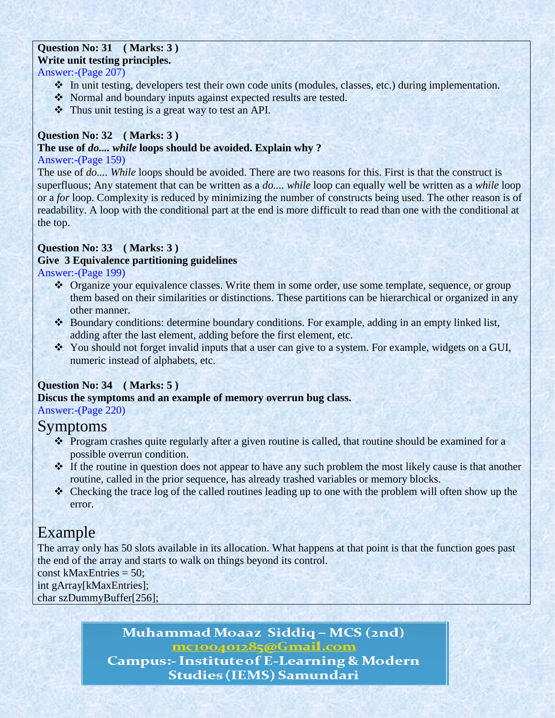## **Question No: 31 ( Marks: 3 ) Write unit testing principles.**

# Answer:-(Page 207)

- In unit testing, developers test their own code units (modules, classes, etc.) during implementation.
- \* Normal and boundary inputs against expected results are tested.
- Thus unit testing is a great way to test an API.

# **Question No: 32 ( Marks: 3 )**

# **The use of** *do.... while* **loops should be avoided. Explain why ?**

## Answer:-(Page 159)

The use of *do.... While* loops should be avoided. There are two reasons for this. First is that the construct is superfluous; Any statement that can be written as a *do.... while* loop can equally well be written as a *while* loop or a *for* loop. Complexity is reduced by minimizing the number of constructs being used. The other reason is of readability. A loop with the conditional part at the end is more difficult to read than one with the conditional at the top.

# **Question No: 33 ( Marks: 3 )**

# **Give 3 Equivalence partitioning guidelines**

Answer:-(Page 199)

- Organize your equivalence classes. Write them in some order, use some template, sequence, or group them based on their similarities or distinctions. These partitions can be hierarchical or organized in any other manner.
- Boundary conditions: determine boundary conditions. For example, adding in an empty linked list, adding after the last element, adding before the first element, etc.
- \* You should not forget invalid inputs that a user can give to a system. For example, widgets on a GUI, numeric instead of alphabets, etc.

# **Question No: 34 ( Marks: 5 )**

## **Discus the symptoms and an example of memory overrun bug class.**

Answer:-(Page 220)

# Symptoms

- Program crashes quite regularly after a given routine is called, that routine should be examined for a possible overrun condition.
- \* If the routine in question does not appear to have any such problem the most likely cause is that another routine, called in the prior sequence, has already trashed variables or memory blocks.
- Checking the trace log of the called routines leading up to one with the problem will often show up the error.

# Example

The array only has 50 slots available in its allocation. What happens at that point is that the function goes past the end of the array and starts to walk on things beyond its control.

const kMaxEntries = 50; int gArray[kMaxEntries];

char szDummyBuffer[256];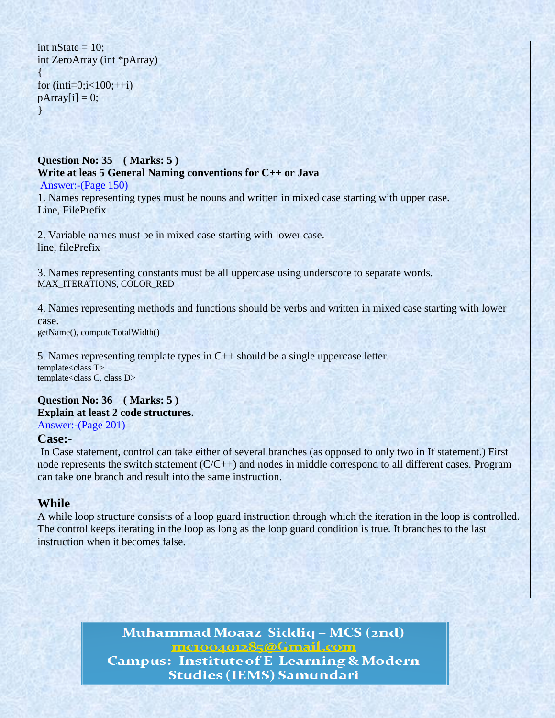int nState  $= 10$ : int ZeroArray (int \*pArray) {

for  $(inti=0;i<100;++i)$  $pArray[i] = 0;$ }

# **Question No: 35 ( Marks: 5 ) Write at leas 5 General Naming conventions for C++ or Java**

Answer:-(Page 150)

1. Names representing types must be nouns and written in mixed case starting with upper case. Line, FilePrefix

2. Variable names must be in mixed case starting with lower case. line, filePrefix

3. Names representing constants must be all uppercase using underscore to separate words. MAX\_ITERATIONS, COLOR\_RED

4. Names representing methods and functions should be verbs and written in mixed case starting with lower case.

getName(), computeTotalWidth()

5. Names representing template types in C++ should be a single uppercase letter. template<class T> template<class C, class D>

# **Question No: 36 ( Marks: 5 ) Explain at least 2 code structures.**

Answer:-(Page 201)

# **Case:-**

In Case statement, control can take either of several branches (as opposed to only two in If statement.) First node represents the switch statement (C/C++) and nodes in middle correspond to all different cases. Program can take one branch and result into the same instruction.

# **While**

A while loop structure consists of a loop guard instruction through which the iteration in the loop is controlled. The control keeps iterating in the loop as long as the loop guard condition is true. It branches to the last instruction when it becomes false.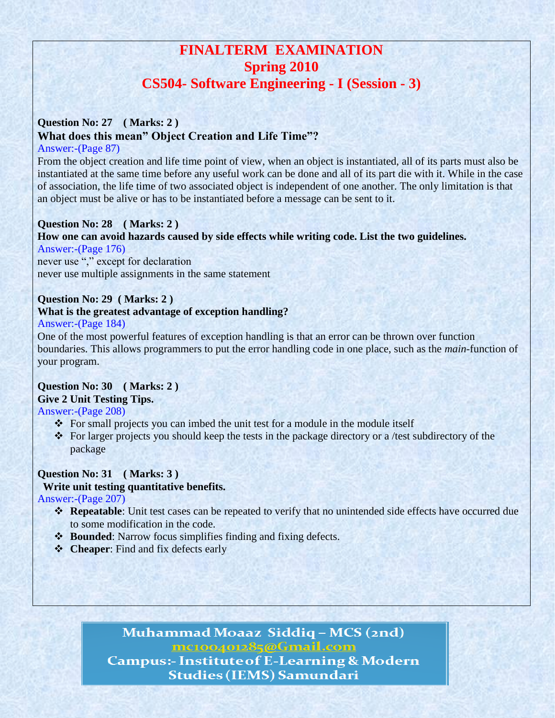# **FINALTERM EXAMINATION Spring 2010 CS504- Software Engineering - I (Session - 3)**

# **Question No: 27 ( Marks: 2 ) What does this mean" Object Creation and Life Time"?**

# Answer:-(Page 87)

From the object creation and life time point of view, when an object is instantiated, all of its parts must also be instantiated at the same time before any useful work can be done and all of its part die with it. While in the case of association, the life time of two associated object is independent of one another. The only limitation is that an object must be alive or has to be instantiated before a message can be sent to it.

# **Question No: 28 ( Marks: 2 )**

# **How one can avoid hazards caused by side effects while writing code. List the two guidelines.**

Answer:-(Page 176) never use "," except for declaration never use multiple assignments in the same statement

# **Question No: 29 ( Marks: 2 )**

## **What is the greatest advantage of exception handling?**

Answer:-(Page 184)

One of the most powerful features of exception handling is that an error can be thrown over function boundaries. This allows programmers to put the error handling code in one place, such as the *main*-function of your program.

# **Question No: 30 ( Marks: 2 ) Give 2 Unit Testing Tips.**

Answer:-(Page 208)

- For small projects you can imbed the unit test for a module in the module itself
- \* For larger projects you should keep the tests in the package directory or a /test subdirectory of the package

# **Question No: 31 ( Marks: 3 )**

# **Write unit testing quantitative benefits.**

Answer:-(Page 207)

- **Exercise** Repeatable: Unit test cases can be repeated to verify that no unintended side effects have occurred due to some modification in the code.
- $\cdot$  **Bounded**: Narrow focus simplifies finding and fixing defects.
- **Cheaper:** Find and fix defects early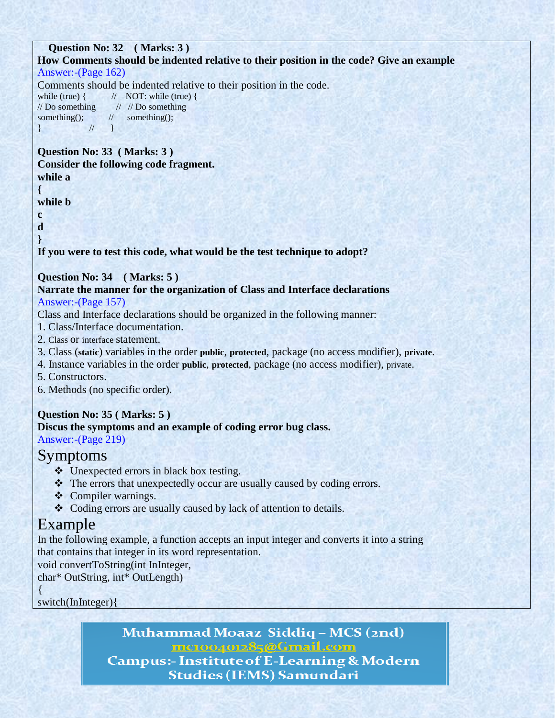# **Question No: 32 ( Marks: 3 ) How Comments should be indented relative to their position in the code? Give an example**

# Answer:-(Page 162)

Comments should be indented relative to their position in the code.

while (true)  $\{$  // NOT: while (true)  $\{$  $//$  Do something  $//$   $//$  Do something something(); // something(); } // }

#### **Question No: 33 ( Marks: 3 ) Consider the following code fragment. while a**

**{**

**while b**

**c d**

**}**

# **If you were to test this code, what would be the test technique to adopt?**

# **Question No: 34 ( Marks: 5 )**

# **Narrate the manner for the organization of Class and Interface declarations**  Answer:-(Page 157)

Class and Interface declarations should be organized in the following manner:

- 1. Class/Interface documentation.
- 2. Class or interface statement.
- 3. Class (**static**) variables in the order **public**, **protected**, package (no access modifier), **private**.
- 4. Instance variables in the order **public**, **protected**, package (no access modifier), private.
- 5. Constructors.
- 6. Methods (no specific order).

# **Question No: 35 ( Marks: 5 )**

# **Discus the symptoms and an example of coding error bug class.**

Answer:-(Page 219)

# Symptoms

- Unexpected errors in black box testing.
- The errors that unexpectedly occur are usually caused by coding errors.
- ❖ Compiler warnings.
- Coding errors are usually caused by lack of attention to details.

# Example

In the following example, a function accepts an input integer and converts it into a string that contains that integer in its word representation.

void convertToString(int InInteger,

char\* OutString, int\* OutLength)

{

switch(InInteger){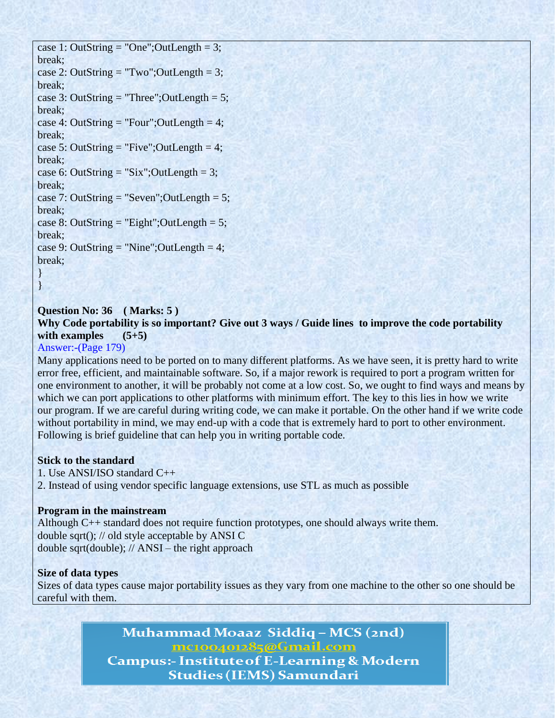case 1: OutString = "One"; OutLength =  $3$ ; break; case 2: OutString = "Two"; OutLength = 3; break; case 3: OutString = "Three"; OutLength =  $5$ ; break; case 4: OutString = "Four"; OutLength = 4; break; case 5: OutString = "Five"; OutLength = 4; break; case 6: OutString = "Six"; OutLength =  $3$ ; break; case 7: OutString = "Seven";OutLength = 5; break; case 8: OutString = "Eight"; OutLength =  $5$ ; break; case 9: OutString = "Nine"; OutLength =  $4$ ; break; }

# **Question No: 36 ( Marks: 5 )**

**Why Code portability is so important? Give out 3 ways / Guide lines to improve the code portability with examples (5+5)**

# Answer:-(Page 179)

}

Many applications need to be ported on to many different platforms. As we have seen, it is pretty hard to write error free, efficient, and maintainable software. So, if a major rework is required to port a program written for one environment to another, it will be probably not come at a low cost. So, we ought to find ways and means by which we can port applications to other platforms with minimum effort. The key to this lies in how we write our program. If we are careful during writing code, we can make it portable. On the other hand if we write code without portability in mind, we may end-up with a code that is extremely hard to port to other environment. Following is brief guideline that can help you in writing portable code.

## **Stick to the standard**

1. Use ANSI/ISO standard C++ 2. Instead of using vendor specific language extensions, use STL as much as possible

#### **Program in the mainstream**

Although C++ standard does not require function prototypes, one should always write them. double sqrt(); // old style acceptable by ANSI C double sqrt(double); // ANSI – the right approach

#### **Size of data types**

Sizes of data types cause major portability issues as they vary from one machine to the other so one should be careful with them.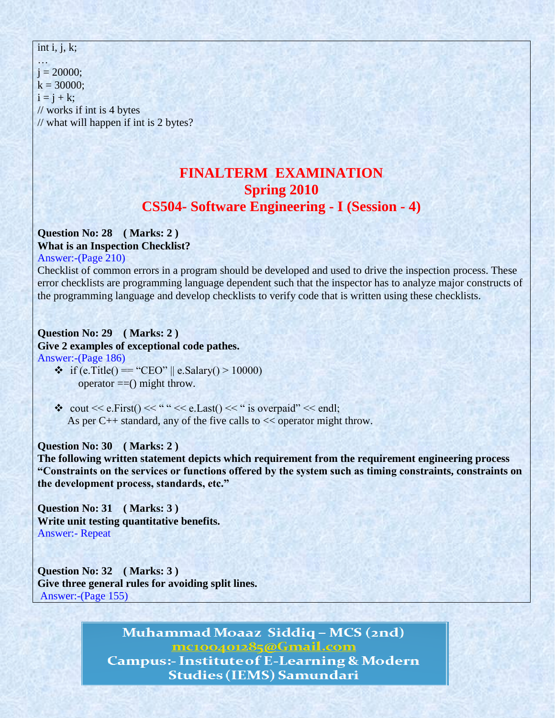int i, j, k;

…  $i = 20000$ ;  $k = 30000$ ;  $i = j + k$ ; // works if int is 4 bytes // what will happen if int is 2 bytes?

# **FINALTERM EXAMINATION Spring 2010 CS504- Software Engineering - I (Session - 4)**

# **Question No: 28 ( Marks: 2 ) What is an Inspection Checklist?**

Answer:-(Page 210)

Checklist of common errors in a program should be developed and used to drive the inspection process. These error checklists are programming language dependent such that the inspector has to analyze major constructs of the programming language and develop checklists to verify code that is written using these checklists.

#### **Question No: 29 ( Marks: 2 ) Give 2 examples of exceptional code pathes.** Answer:-(Page 186)

- if (e.Title() == "CEO" || e.Salary() > 10000) operator ==() might throw.
- $\cdot$  cout << e.First() << "" << e.Last() << " is overpaid" << endl; As per  $C_{++}$  standard, any of the five calls to  $<<$  operator might throw.

# **Question No: 30 ( Marks: 2 )**

**The following written statement depicts which requirement from the requirement engineering process "Constraints on the services or functions offered by the system such as timing constraints, constraints on the development process, standards, etc."**

**Question No: 31 ( Marks: 3 ) Write unit testing quantitative benefits.** Answer:- Repeat

**Question No: 32 ( Marks: 3 ) Give three general rules for avoiding split lines.**  Answer:-(Page 155)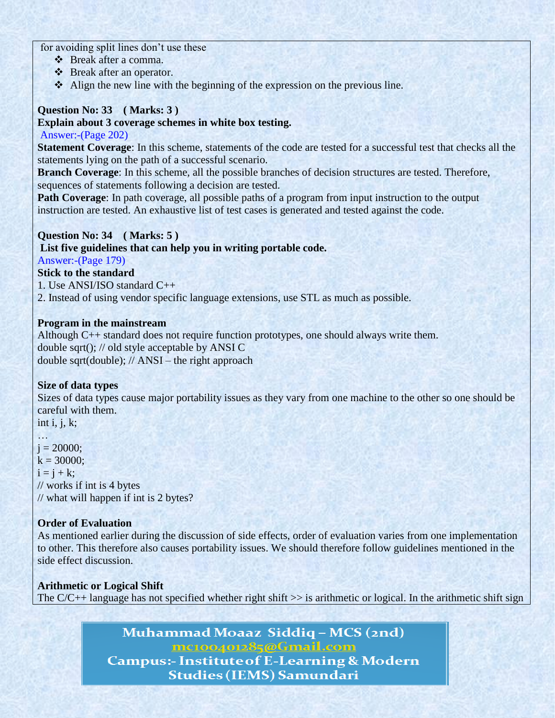for avoiding split lines don't use these

- Break after a comma.
- Break after an operator.
- $\triangle$  Align the new line with the beginning of the expression on the previous line.

# **Question No: 33 ( Marks: 3 )**

# **Explain about 3 coverage schemes in white box testing.**

# Answer:-(Page 202)

**Statement Coverage**: In this scheme, statements of the code are tested for a successful test that checks all the statements lying on the path of a successful scenario.

**Branch Coverage**: In this scheme, all the possible branches of decision structures are tested. Therefore, sequences of statements following a decision are tested.

**Path Coverage**: In path coverage, all possible paths of a program from input instruction to the output instruction are tested. An exhaustive list of test cases is generated and tested against the code.

# **Question No: 34 ( Marks: 5 )**

# **List five guidelines that can help you in writing portable code.**

Answer:-(Page 179)

# **Stick to the standard**

1. Use ANSI/ISO standard C++

2. Instead of using vendor specific language extensions, use STL as much as possible.

# **Program in the mainstream**

Although C++ standard does not require function prototypes, one should always write them. double sqrt(); // old style acceptable by ANSI C double sqrt(double); // ANSI – the right approach

# **Size of data types**

Sizes of data types cause major portability issues as they vary from one machine to the other so one should be careful with them. int i, j, k;

…  $j = 20000;$  $k = 30000$ :  $i = j + k$ ; // works if int is 4 bytes // what will happen if int is 2 bytes?

# **Order of Evaluation**

As mentioned earlier during the discussion of side effects, order of evaluation varies from one implementation to other. This therefore also causes portability issues. We should therefore follow guidelines mentioned in the side effect discussion.

# **Arithmetic or Logical Shift**

The  $C/C++$  language has not specified whether right shift  $\gg$  is arithmetic or logical. In the arithmetic shift sign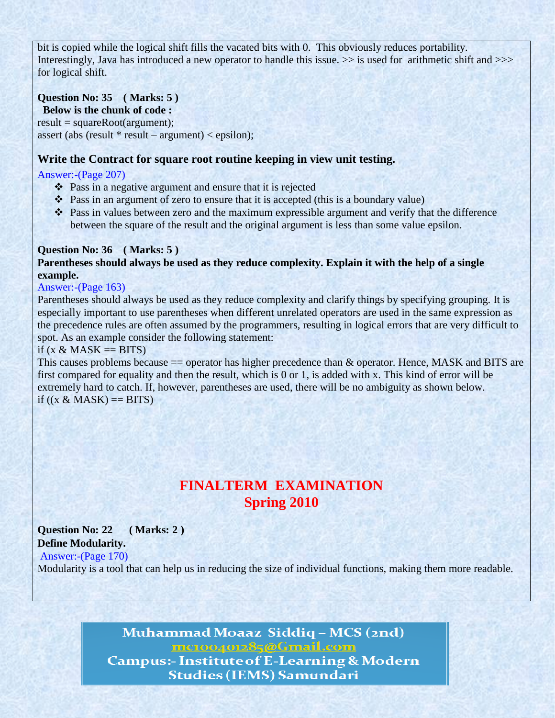bit is copied while the logical shift fills the vacated bits with 0. This obviously reduces portability. Interestingly, Java has introduced a new operator to handle this issue.  $\gg$  is used for arithmetic shift and  $\gg$ for logical shift.

# **Question No: 35 ( Marks: 5 )**

 **Below is the chunk of code :**

 $result = squareRoot(argument);$ 

assert (abs (result  $*$  result – argument) < epsilon);

# **Write the Contract for square root routine keeping in view unit testing.**

# Answer:-(Page 207)

- Pass in a negative argument and ensure that it is rejected
- Pass in an argument of zero to ensure that it is accepted (this is a boundary value)
- Pass in values between zero and the maximum expressible argument and verify that the difference between the square of the result and the original argument is less than some value epsilon.

#### **Question No: 36 ( Marks: 5 ) Parentheses should always be used as they reduce complexity. Explain it with the help of a single example.**

# Answer:-(Page 163)

Parentheses should always be used as they reduce complexity and clarify things by specifying grouping. It is especially important to use parentheses when different unrelated operators are used in the same expression as the precedence rules are often assumed by the programmers, resulting in logical errors that are very difficult to spot. As an example consider the following statement:

## if  $(x \& MAX == BITS)$

This causes problems because == operator has higher precedence than & operator. Hence, MASK and BITS are first compared for equality and then the result, which is 0 or 1, is added with x. This kind of error will be extremely hard to catch. If, however, parentheses are used, there will be no ambiguity as shown below. if  $((x \& \text{MASK}) == \text{BITS})$ 

# **FINALTERM EXAMINATION Spring 2010**

# **Question No: 22 ( Marks: 2 ) Define Modularity.**

Answer:-(Page 170)

Modularity is a tool that can help us in reducing the size of individual functions, making them more readable.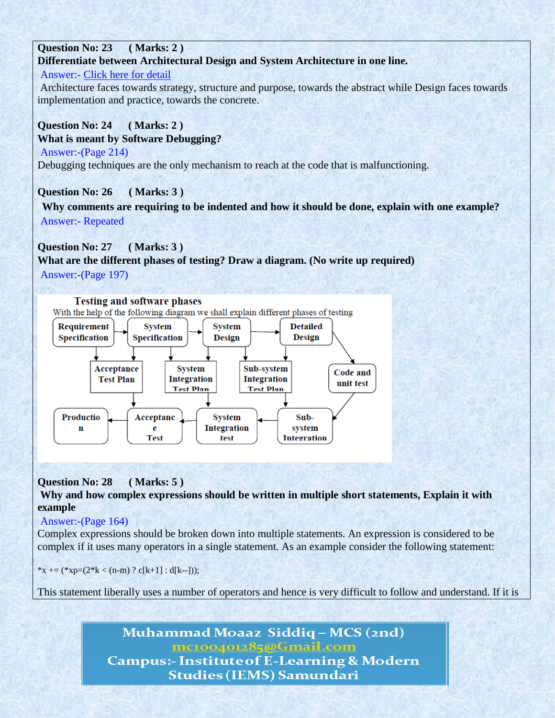# **Question No: 23 ( Marks: 2 ) Differentiate between Architectural Design and System Architecture in one line.**

# Answer:- [Click here for detail](http://weblog.tetradian.com/2009/10/09/architecture-versus-design/)

Architecture faces towards strategy, structure and purpose, towards the abstract while Design faces towards implementation and practice, towards the concrete.

# **Question No: 24 ( Marks: 2 )**

# **What is meant by Software Debugging?**

Answer:-(Page 214)

Debugging techniques are the only mechanism to reach at the code that is malfunctioning.

# **Question No: 26 ( Marks: 3 )**

**Why comments are requiring to be indented and how it should be done, explain with one example?** Answer:- Repeated

# **Question No: 27 ( Marks: 3 )**

**What are the different phases of testing? Draw a diagram. (No write up required)** Answer:-(Page 197)



# **Question No: 28 ( Marks: 5 )**

**Why and how complex expressions should be written in multiple short statements, Explain it with example**

# Answer:-(Page 164)

Complex expressions should be broken down into multiple statements. An expression is considered to be complex if it uses many operators in a single statement. As an example consider the following statement:

\*x += (\*xp=(2\*k < (n-m) ? c[k+1] : d[k--]));

This statement liberally uses a number of operators and hence is very difficult to follow and understand. If it is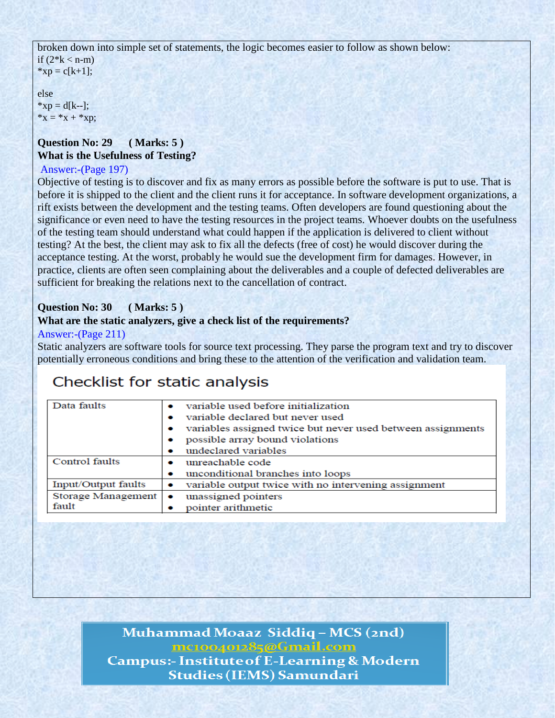broken down into simple set of statements, the logic becomes easier to follow as shown below: if  $(2*k < n-m)$  $*xp = c[k+1];$ 

else  $*xp = d[k-]:$  $*_{X} = *_{X} + *_{X}p;$ 

# **Question No: 29 ( Marks: 5 ) What is the Usefulness of Testing?**

## Answer:-(Page 197)

Objective of testing is to discover and fix as many errors as possible before the software is put to use. That is before it is shipped to the client and the client runs it for acceptance. In software development organizations, a rift exists between the development and the testing teams. Often developers are found questioning about the significance or even need to have the testing resources in the project teams. Whoever doubts on the usefulness of the testing team should understand what could happen if the application is delivered to client without testing? At the best, the client may ask to fix all the defects (free of cost) he would discover during the acceptance testing. At the worst, probably he would sue the development firm for damages. However, in practice, clients are often seen complaining about the deliverables and a couple of defected deliverables are sufficient for breaking the relations next to the cancellation of contract.

# **Question No: 30 ( Marks: 5 )**

## **What are the static analyzers, give a check list of the requirements?**

#### Answer:-(Page 211)

Static analyzers are software tools for source text processing. They parse the program text and try to discover potentially erroneous conditions and bring these to the attention of the verification and validation team.

# Checklist for static analysis

| Data faults                | variable used before initialization<br>variable declared but never used |
|----------------------------|-------------------------------------------------------------------------|
|                            | variables assigned twice but never used between assignments             |
|                            | possible array bound violations                                         |
|                            | undeclared variables                                                    |
| Control faults             | unreachable code                                                        |
|                            | unconditional branches into loops                                       |
| <b>Input/Output faults</b> | variable output twice with no intervening assignment                    |
| Storage Management         | unassigned pointers<br>$\bullet$                                        |
| fault                      | pointer arithmetic                                                      |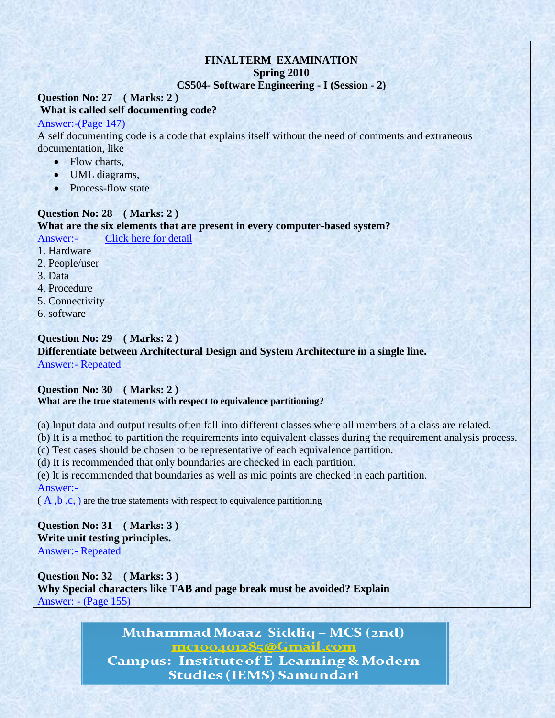# **FINALTERM EXAMINATION Spring 2010**

#### **CS504- Software Engineering - I (Session - 2)**

#### **Question No: 27 ( Marks: 2 ) What is called self documenting code?**

#### Answer:-(Page 147)

A self documenting code is a code that explains itself without the need of comments and extraneous documentation, like

- Flow charts,
- UML diagrams,
- Process-flow state

#### **Question No: 28 ( Marks: 2 )**

**What are the six elements that are present in every computer-based system?**

Answer:- [Click here for detail](http://wiki.answers.com/Q/What_are_the_elements_of_computer#ixzz1km4B4N17)

1. Hardware

- 2. People/user
- 3. Data

4. Procedure

- 5. Connectivity
- 6. software

# **Question No: 29 ( Marks: 2 )**

**Differentiate between Architectural Design and System Architecture in a single line.**  Answer:- Repeated

# **Question No: 30 ( Marks: 2 )**

# **What are the true statements with respect to equivalence partitioning?**

(a) Input data and output results often fall into different classes where all members of a class are related.

(b) It is a method to partition the requirements into equivalent classes during the requirement analysis process.

(c) Test cases should be chosen to be representative of each equivalence partition.

(d) It is recommended that only boundaries are checked in each partition.

(e) It is recommended that boundaries as well as mid points are checked in each partition. Answer:-

 $(A, b, c, )$  are the true statements with respect to equivalence partitioning

# **Question No: 31 ( Marks: 3 ) Write unit testing principles.** Answer:- Repeated

**Question No: 32 ( Marks: 3 ) Why Special characters like TAB and page break must be avoided? Explain** Answer: - (Page 155)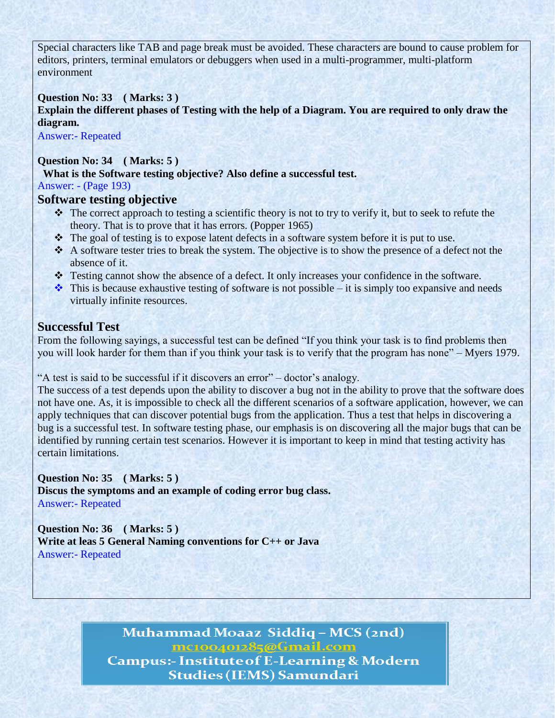Special characters like TAB and page break must be avoided. These characters are bound to cause problem for editors, printers, terminal emulators or debuggers when used in a multi-programmer, multi-platform environment

# **Question No: 33 ( Marks: 3 )**

**Explain the different phases of Testing with the help of a Diagram. You are required to only draw the diagram.**

Answer:- Repeated

# **Question No: 34 ( Marks: 5 )**

 **What is the Software testing objective? Also define a successful test.**

Answer: - (Page 193)

# **Software testing objective**

- $\cdot \cdot$  The correct approach to testing a scientific theory is not to try to verify it, but to seek to refute the theory. That is to prove that it has errors. (Popper 1965)
- The goal of testing is to expose latent defects in a software system before it is put to use.
- A software tester tries to break the system. The objective is to show the presence of a defect not the absence of it.
- \* Testing cannot show the absence of a defect. It only increases your confidence in the software.
- $\cdot$  This is because exhaustive testing of software is not possible it is simply too expansive and needs virtually infinite resources.

# **Successful Test**

From the following sayings, a successful test can be defined "If you think your task is to find problems then you will look harder for them than if you think your task is to verify that the program has none" – Myers 1979.

"A test is said to be successful if it discovers an error" – doctor's analogy.

The success of a test depends upon the ability to discover a bug not in the ability to prove that the software does not have one. As, it is impossible to check all the different scenarios of a software application, however, we can apply techniques that can discover potential bugs from the application. Thus a test that helps in discovering a bug is a successful test. In software testing phase, our emphasis is on discovering all the major bugs that can be identified by running certain test scenarios. However it is important to keep in mind that testing activity has certain limitations.

## **Question No: 35 ( Marks: 5 )**

**Discus the symptoms and an example of coding error bug class.** Answer:- Repeated

**Question No: 36 ( Marks: 5 ) Write at leas 5 General Naming conventions for C++ or Java** Answer:- Repeated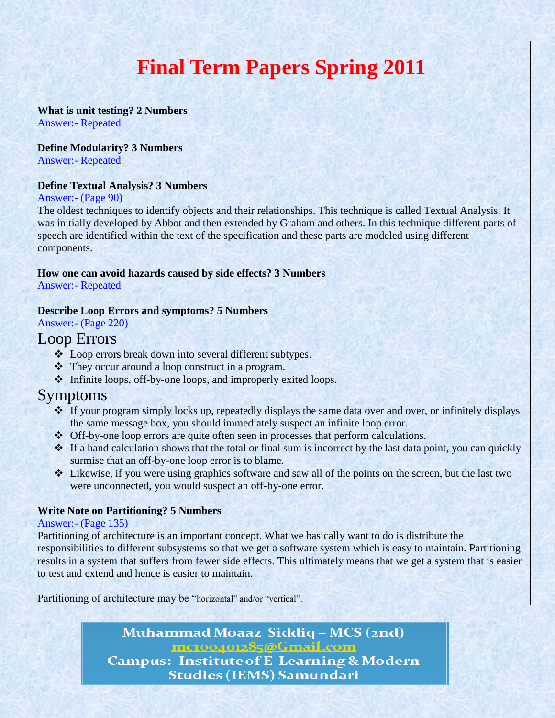# **Final Term Papers Spring 2011**

#### **What is unit testing? 2 Numbers** Answer:- Repeated

# **Define Modularity? 3 Numbers**

Answer:- Repeated

## **Define Textual Analysis? 3 Numbers**

#### Answer:- (Page 90)

The oldest techniques to identify objects and their relationships. This technique is called Textual Analysis. It was initially developed by Abbot and then extended by Graham and others. In this technique different parts of speech are identified within the text of the specification and these parts are modeled using different components.

# **How one can avoid hazards caused by side effects? 3 Numbers**

Answer:- Repeated

# **Describe Loop Errors and symptoms? 5 Numbers**

Answer:- (Page 220)

# Loop Errors

- Loop errors break down into several different subtypes.
- They occur around a loop construct in a program.
- $\triangleleft$  Infinite loops, off-by-one loops, and improperly exited loops.

# Symptoms

- If your program simply locks up, repeatedly displays the same data over and over, or infinitely displays the same message box, you should immediately suspect an infinite loop error.
- Off-by-one loop errors are quite often seen in processes that perform calculations.
- If a hand calculation shows that the total or final sum is incorrect by the last data point, you can quickly surmise that an off-by-one loop error is to blame.
- Likewise, if you were using graphics software and saw all of the points on the screen, but the last two were unconnected, you would suspect an off-by-one error.

# **Write Note on Partitioning? 5 Numbers**

## Answer:- (Page 135)

Partitioning of architecture is an important concept. What we basically want to do is distribute the responsibilities to different subsystems so that we get a software system which is easy to maintain. Partitioning results in a system that suffers from fewer side effects. This ultimately means that we get a system that is easier to test and extend and hence is easier to maintain.

Partitioning of architecture may be "horizontal" and/or "vertical".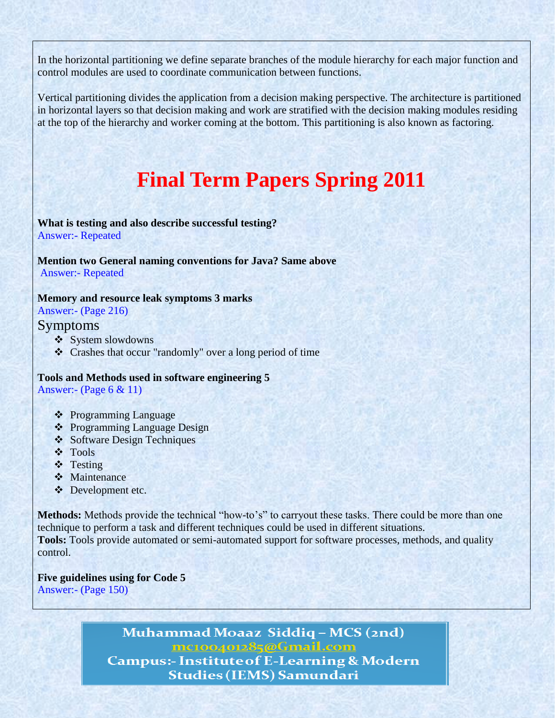In the horizontal partitioning we define separate branches of the module hierarchy for each major function and control modules are used to coordinate communication between functions.

Vertical partitioning divides the application from a decision making perspective. The architecture is partitioned in horizontal layers so that decision making and work are stratified with the decision making modules residing at the top of the hierarchy and worker coming at the bottom. This partitioning is also known as factoring.

# **Final Term Papers Spring 2011**

**What is testing and also describe successful testing?**  Answer:- Repeated

#### **Mention two General naming conventions for Java? Same above** Answer:- Repeated

## **Memory and resource leak symptoms 3 marks**

Answer:- (Page 216)

# Symptoms

- ❖ System slowdowns
- Crashes that occur "randomly" over a long period of time

#### **Tools and Methods used in software engineering 5** Answer:- (Page 6 & 11)

- ❖ Programming Language
- ❖ Programming Language Design
- Software Design Techniques
- Tools
- **❖** Testing
- **☆** Maintenance
- ❖ Development etc.

**Methods:** Methods provide the technical "how-to's" to carryout these tasks. There could be more than one technique to perform a task and different techniques could be used in different situations. **Tools:** Tools provide automated or semi-automated support for software processes, methods, and quality control.

**Five guidelines using for Code 5** Answer:- (Page 150)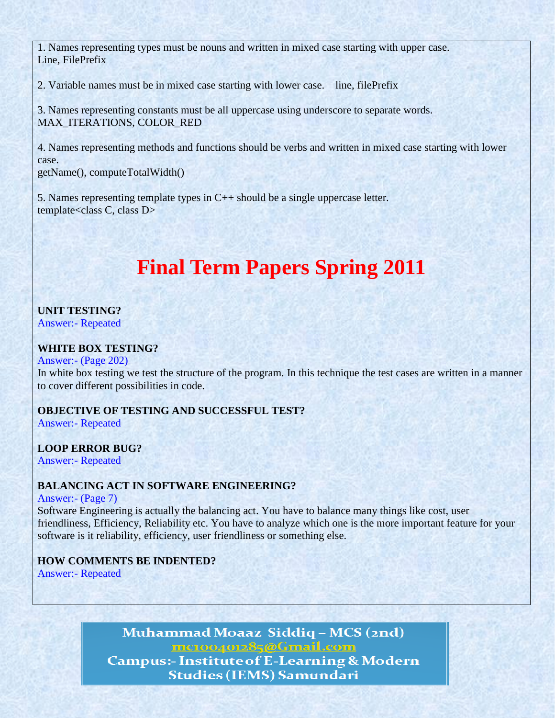1. Names representing types must be nouns and written in mixed case starting with upper case. Line, FilePrefix

2. Variable names must be in mixed case starting with lower case. line, filePrefix

3. Names representing constants must be all uppercase using underscore to separate words. MAX\_ITERATIONS, COLOR\_RED

4. Names representing methods and functions should be verbs and written in mixed case starting with lower case. getName(), computeTotalWidth()

5. Names representing template types in C++ should be a single uppercase letter. template<class C, class D>

# **Final Term Papers Spring 2011**

# **UNIT TESTING?**

Answer:- Repeated

# **WHITE BOX TESTING?**

#### Answer:- (Page 202)

In white box testing we test the structure of the program. In this technique the test cases are written in a manner to cover different possibilities in code.

# **OBJECTIVE OF TESTING AND SUCCESSFUL TEST?**

Answer:- Repeated

# **LOOP ERROR BUG?**

Answer:- Repeated

# **BALANCING ACT IN SOFTWARE ENGINEERING?**

#### Answer:- (Page 7)

Software Engineering is actually the balancing act. You have to balance many things like cost, user friendliness, Efficiency, Reliability etc. You have to analyze which one is the more important feature for your software is it reliability, efficiency, user friendliness or something else.

# **HOW COMMENTS BE INDENTED?**

Answer:- Repeated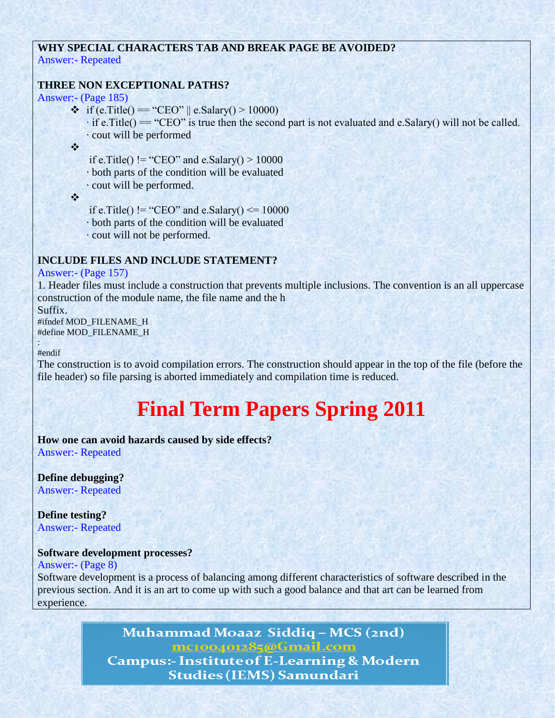# **WHY SPECIAL CHARACTERS TAB AND BREAK PAGE BE AVOIDED?** Answer:- Repeated

# **THREE NON EXCEPTIONAL PATHS?**

Answer:- (Page 185)

• if (e.Title() == "CEO" || e.Salary() > 10000)  $\cdot$  if e. Title() == "CEO" is true then the second part is not evaluated and e. Salary() will not be called. · cout will be performed

 $\mathbf{v}_i^{\mathbf{e}_i}$ 

if e.Title() != "CEO" and e.Salary() >  $10000$ 

· both parts of the condition will be evaluated

· cout will be performed.

 $\frac{1}{2}$ 

if e.Title() != "CEO" and e.Salary()  $\le$  = 10000

· both parts of the condition will be evaluated

· cout will not be performed.

## **INCLUDE FILES AND INCLUDE STATEMENT?**

#### Answer:- (Page 157)

1. Header files must include a construction that prevents multiple inclusions. The convention is an all uppercase construction of the module name, the file name and the h

Suffix. #ifndef MOD\_FILENAME\_H #define MOD\_FILENAME\_H

: #endif

The construction is to avoid compilation errors. The construction should appear in the top of the file (before the file header) so file parsing is aborted immediately and compilation time is reduced.

# **Final Term Papers Spring 2011**

**How one can avoid hazards caused by side effects?** Answer:- Repeated

**Define debugging?** Answer:- Repeated

**Define testing?** Answer:- Repeated

## **Software development processes?**

Answer:- (Page 8)

Software development is a process of balancing among different characteristics of software described in the previous section. And it is an art to come up with such a good balance and that art can be learned from experience.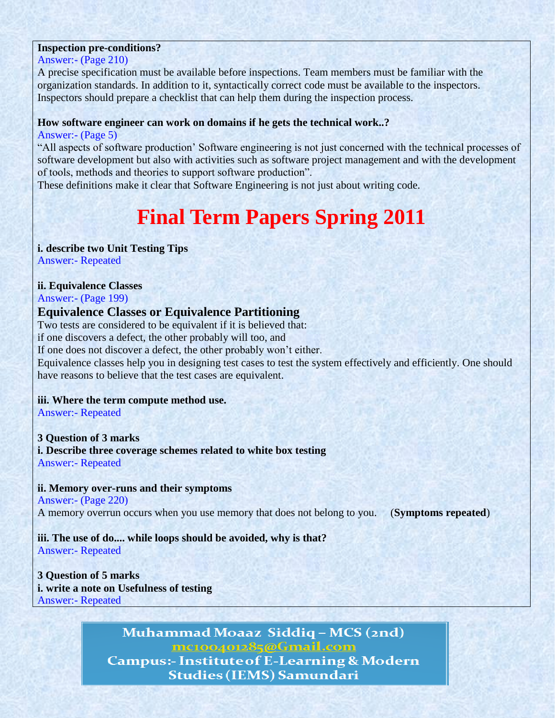# **Inspection pre-conditions?**

Answer:- (Page 210)

A precise specification must be available before inspections. Team members must be familiar with the organization standards. In addition to it, syntactically correct code must be available to the inspectors. Inspectors should prepare a checklist that can help them during the inspection process.

#### **How software engineer can work on domains if he gets the technical work..?**

Answer:- (Page 5)

"All aspects of software production' Software engineering is not just concerned with the technical processes of software development but also with activities such as software project management and with the development of tools, methods and theories to support software production".

These definitions make it clear that Software Engineering is not just about writing code.

# **Final Term Papers Spring 2011**

# **i. describe two Unit Testing Tips**

Answer:- Repeated

# **ii. Equivalence Classes**

Answer:- (Page 199)

# **Equivalence Classes or Equivalence Partitioning**

Two tests are considered to be equivalent if it is believed that: if one discovers a defect, the other probably will too, and If one does not discover a defect, the other probably won't either. Equivalence classes help you in designing test cases to test the system effectively and efficiently. One should have reasons to believe that the test cases are equivalent.

## **iii. Where the term compute method use.**

Answer:- Repeated

## **3 Question of 3 marks**

**i. Describe three coverage schemes related to white box testing** Answer:- Repeated

## **ii. Memory over-runs and their symptoms**

Answer:- (Page 220) A memory overrun occurs when you use memory that does not belong to you. (**Symptoms repeated**)

# **iii. The use of do.... while loops should be avoided, why is that?**

Answer:- Repeated

**3 Question of 5 marks i. write a note on Usefulness of testing** Answer:- Repeated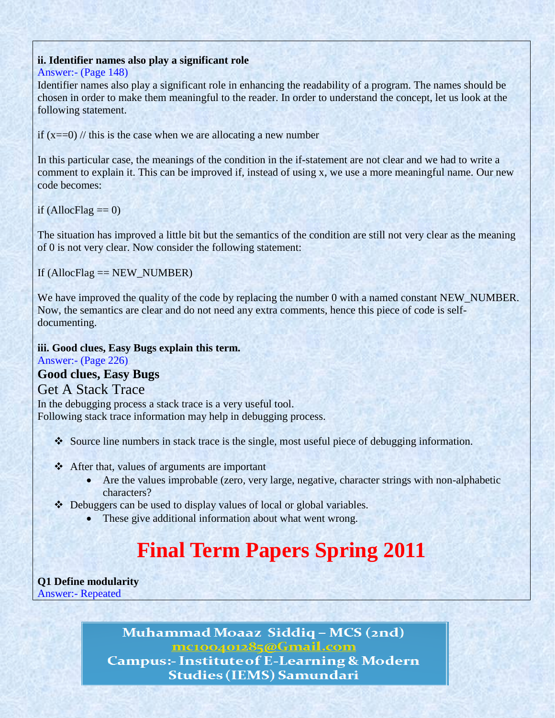# **ii. Identifier names also play a significant role**

#### Answer:- (Page 148)

Identifier names also play a significant role in enhancing the readability of a program. The names should be chosen in order to make them meaningful to the reader. In order to understand the concept, let us look at the following statement.

if  $(x=-0)$  // this is the case when we are allocating a new number

In this particular case, the meanings of the condition in the if-statement are not clear and we had to write a comment to explain it. This can be improved if, instead of using x, we use a more meaningful name. Our new code becomes:

if (AllocFlag  $== 0$ )

The situation has improved a little bit but the semantics of the condition are still not very clear as the meaning of 0 is not very clear. Now consider the following statement:

If  $(AllocFlag == NEW_NUMBER)$ 

We have improved the quality of the code by replacing the number 0 with a named constant NEW\_NUMBER. Now, the semantics are clear and do not need any extra comments, hence this piece of code is selfdocumenting.

**iii. Good clues, Easy Bugs explain this term.** Answer:- (Page 226) **Good clues, Easy Bugs**

# Get A Stack Trace

In the debugging process a stack trace is a very useful tool. Following stack trace information may help in debugging process.

- Source line numbers in stack trace is the single, most useful piece of debugging information.
- After that, values of arguments are important
	- Are the values improbable (zero, very large, negative, character strings with non-alphabetic characters?
- Debuggers can be used to display values of local or global variables.
	- These give additional information about what went wrong.

# **Final Term Papers Spring 2011**

**Q1 Define modularity** Answer:- Repeated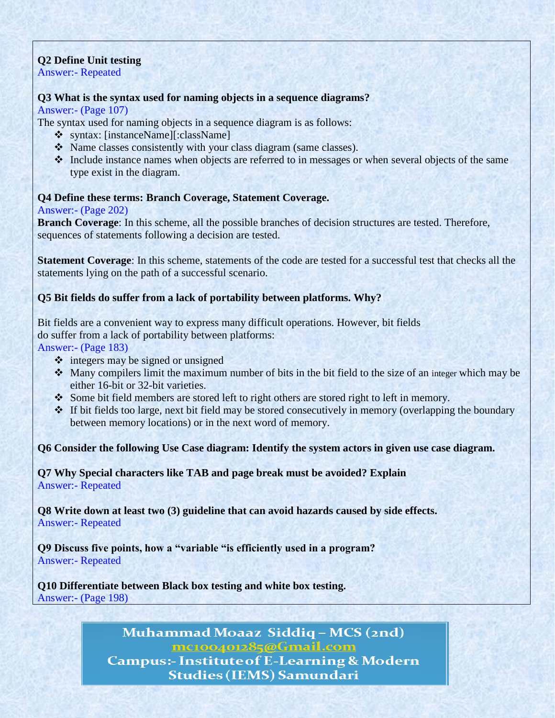# **Q2 Define Unit testing**

Answer:- Repeated

# **Q3 What is the syntax used for naming objects in a sequence diagrams?**

Answer:- (Page 107)

The syntax used for naming objects in a sequence diagram is as follows:

- syntax: [instanceName][:className]
- Name classes consistently with your class diagram (same classes).
- Include instance names when objects are referred to in messages or when several objects of the same type exist in the diagram.

# **Q4 Define these terms: Branch Coverage, Statement Coverage.**

# Answer:- (Page 202)

**Branch Coverage**: In this scheme, all the possible branches of decision structures are tested. Therefore, sequences of statements following a decision are tested.

**Statement Coverage**: In this scheme, statements of the code are tested for a successful test that checks all the statements lying on the path of a successful scenario.

# **Q5 Bit fields do suffer from a lack of portability between platforms. Why?**

Bit fields are a convenient way to express many difficult operations. However, bit fields do suffer from a lack of portability between platforms:

Answer:- (Page 183)

- integers may be signed or unsigned
- Many compilers limit the maximum number of bits in the bit field to the size of an integer which may be either 16-bit or 32-bit varieties.
- Some bit field members are stored left to right others are stored right to left in memory.
- $\cdot$  If bit fields too large, next bit field may be stored consecutively in memory (overlapping the boundary between memory locations) or in the next word of memory.

**Q6 Consider the following Use Case diagram: Identify the system actors in given use case diagram.**

**Q7 Why Special characters like TAB and page break must be avoided? Explain** Answer:- Repeated

**Q8 Write down at least two (3) guideline that can avoid hazards caused by side effects.** Answer:- Repeated

**Q9 Discuss five points, how a "variable "is efficiently used in a program?** Answer:- Repeated

**Q10 Differentiate between Black box testing and white box testing.** Answer:- (Page 198)